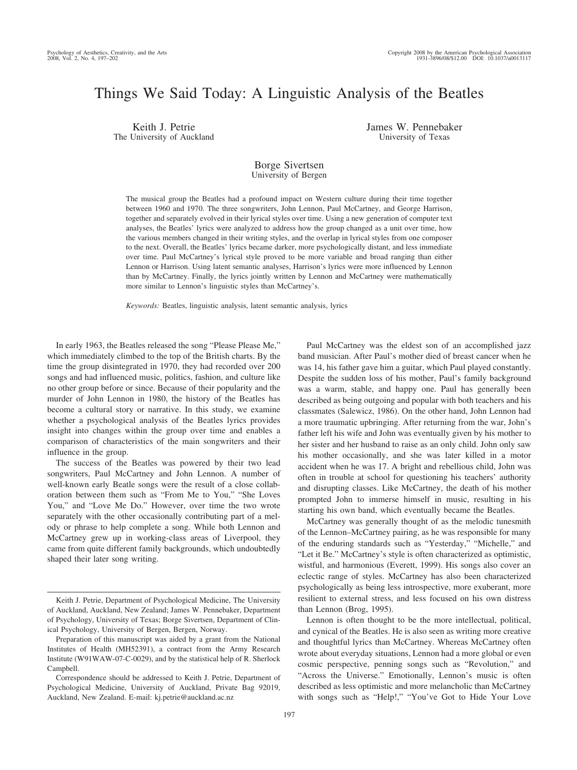# Things We Said Today: A Linguistic Analysis of the Beatles

Keith J. Petrie The University of Auckland James W. Pennebaker University of Texas

# Borge Sivertsen University of Bergen

The musical group the Beatles had a profound impact on Western culture during their time together between 1960 and 1970. The three songwriters, John Lennon, Paul McCartney, and George Harrison, together and separately evolved in their lyrical styles over time. Using a new generation of computer text analyses, the Beatles' lyrics were analyzed to address how the group changed as a unit over time, how the various members changed in their writing styles, and the overlap in lyrical styles from one composer to the next. Overall, the Beatles' lyrics became darker, more psychologically distant, and less immediate over time. Paul McCartney's lyrical style proved to be more variable and broad ranging than either Lennon or Harrison. Using latent semantic analyses, Harrison's lyrics were more influenced by Lennon than by McCartney. Finally, the lyrics jointly written by Lennon and McCartney were mathematically more similar to Lennon's linguistic styles than McCartney's.

*Keywords:* Beatles, linguistic analysis, latent semantic analysis, lyrics

In early 1963, the Beatles released the song "Please Please Me," which immediately climbed to the top of the British charts. By the time the group disintegrated in 1970, they had recorded over 200 songs and had influenced music, politics, fashion, and culture like no other group before or since. Because of their popularity and the murder of John Lennon in 1980, the history of the Beatles has become a cultural story or narrative. In this study, we examine whether a psychological analysis of the Beatles lyrics provides insight into changes within the group over time and enables a comparison of characteristics of the main songwriters and their influence in the group.

The success of the Beatles was powered by their two lead songwriters, Paul McCartney and John Lennon. A number of well-known early Beatle songs were the result of a close collaboration between them such as "From Me to You," "She Loves You," and "Love Me Do." However, over time the two wrote separately with the other occasionally contributing part of a melody or phrase to help complete a song. While both Lennon and McCartney grew up in working-class areas of Liverpool, they came from quite different family backgrounds, which undoubtedly shaped their later song writing.

Paul McCartney was the eldest son of an accomplished jazz band musician. After Paul's mother died of breast cancer when he was 14, his father gave him a guitar, which Paul played constantly. Despite the sudden loss of his mother, Paul's family background was a warm, stable, and happy one. Paul has generally been described as being outgoing and popular with both teachers and his classmates (Salewicz, 1986). On the other hand, John Lennon had a more traumatic upbringing. After returning from the war, John's father left his wife and John was eventually given by his mother to her sister and her husband to raise as an only child. John only saw his mother occasionally, and she was later killed in a motor accident when he was 17. A bright and rebellious child, John was often in trouble at school for questioning his teachers' authority and disrupting classes. Like McCartney, the death of his mother prompted John to immerse himself in music, resulting in his starting his own band, which eventually became the Beatles.

McCartney was generally thought of as the melodic tunesmith of the Lennon–McCartney pairing, as he was responsible for many of the enduring standards such as "Yesterday," "Michelle," and "Let it Be." McCartney's style is often characterized as optimistic, wistful, and harmonious (Everett, 1999). His songs also cover an eclectic range of styles. McCartney has also been characterized psychologically as being less introspective, more exuberant, more resilient to external stress, and less focused on his own distress than Lennon (Brog, 1995).

Lennon is often thought to be the more intellectual, political, and cynical of the Beatles. He is also seen as writing more creative and thoughtful lyrics than McCartney. Whereas McCartney often wrote about everyday situations, Lennon had a more global or even cosmic perspective, penning songs such as "Revolution," and "Across the Universe." Emotionally, Lennon's music is often described as less optimistic and more melancholic than McCartney with songs such as "Help!," "You've Got to Hide Your Love

Keith J. Petrie, Department of Psychological Medicine, The University of Auckland, Auckland, New Zealand; James W. Pennebaker, Department of Psychology, University of Texas; Borge Sivertsen, Department of Clinical Psychology, University of Bergen, Bergen, Norway.

Preparation of this manuscript was aided by a grant from the National Institutes of Health (MH52391), a contract from the Army Research Institute (W91WAW-07-C-0029), and by the statistical help of R. Sherlock Campbell.

Correspondence should be addressed to Keith J. Petrie, Department of Psychological Medicine, University of Auckland, Private Bag 92019, Auckland, New Zealand. E-mail: kj.petrie@auckland.ac.nz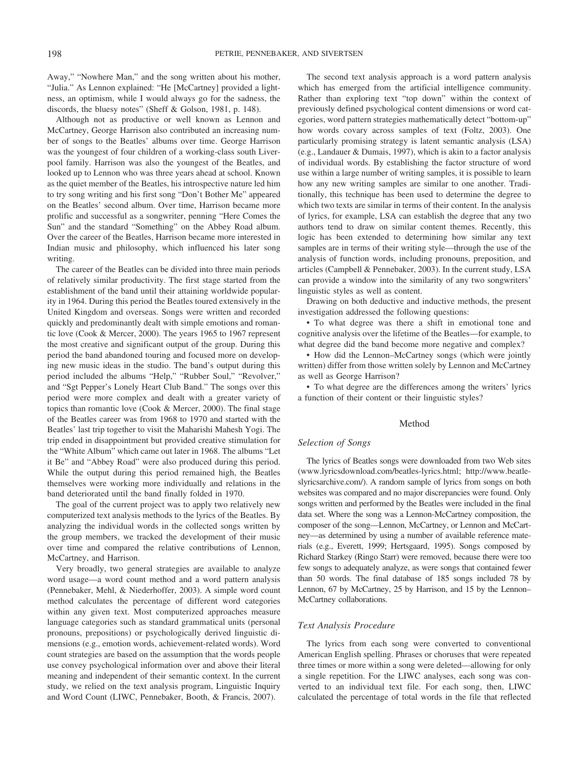Away," "Nowhere Man," and the song written about his mother, "Julia." As Lennon explained: "He [McCartney] provided a lightness, an optimism, while I would always go for the sadness, the discords, the bluesy notes" (Sheff & Golson, 1981, p. 148).

Although not as productive or well known as Lennon and McCartney, George Harrison also contributed an increasing number of songs to the Beatles' albums over time. George Harrison was the youngest of four children of a working-class south Liverpool family. Harrison was also the youngest of the Beatles, and looked up to Lennon who was three years ahead at school. Known as the quiet member of the Beatles, his introspective nature led him to try song writing and his first song "Don't Bother Me" appeared on the Beatles' second album. Over time, Harrison became more prolific and successful as a songwriter, penning "Here Comes the Sun" and the standard "Something" on the Abbey Road album. Over the career of the Beatles, Harrison became more interested in Indian music and philosophy, which influenced his later song writing.

The career of the Beatles can be divided into three main periods of relatively similar productivity. The first stage started from the establishment of the band until their attaining worldwide popularity in 1964. During this period the Beatles toured extensively in the United Kingdom and overseas. Songs were written and recorded quickly and predominantly dealt with simple emotions and romantic love (Cook & Mercer, 2000). The years 1965 to 1967 represent the most creative and significant output of the group. During this period the band abandoned touring and focused more on developing new music ideas in the studio. The band's output during this period included the albums "Help," "Rubber Soul," "Revolver," and "Sgt Pepper's Lonely Heart Club Band." The songs over this period were more complex and dealt with a greater variety of topics than romantic love (Cook & Mercer, 2000). The final stage of the Beatles career was from 1968 to 1970 and started with the Beatles' last trip together to visit the Maharishi Mahesh Yogi. The trip ended in disappointment but provided creative stimulation for the "White Album" which came out later in 1968. The albums "Let it Be" and "Abbey Road" were also produced during this period. While the output during this period remained high, the Beatles themselves were working more individually and relations in the band deteriorated until the band finally folded in 1970.

The goal of the current project was to apply two relatively new computerized text analysis methods to the lyrics of the Beatles. By analyzing the individual words in the collected songs written by the group members, we tracked the development of their music over time and compared the relative contributions of Lennon, McCartney, and Harrison.

Very broadly, two general strategies are available to analyze word usage—a word count method and a word pattern analysis (Pennebaker, Mehl, & Niederhoffer, 2003). A simple word count method calculates the percentage of different word categories within any given text. Most computerized approaches measure language categories such as standard grammatical units (personal pronouns, prepositions) or psychologically derived linguistic dimensions (e.g., emotion words, achievement-related words). Word count strategies are based on the assumption that the words people use convey psychological information over and above their literal meaning and independent of their semantic context. In the current study, we relied on the text analysis program, Linguistic Inquiry and Word Count (LIWC, Pennebaker, Booth, & Francis, 2007).

The second text analysis approach is a word pattern analysis which has emerged from the artificial intelligence community. Rather than exploring text "top down" within the context of previously defined psychological content dimensions or word categories, word pattern strategies mathematically detect "bottom-up" how words covary across samples of text (Foltz, 2003). One particularly promising strategy is latent semantic analysis (LSA) (e.g., Landauer & Dumais, 1997), which is akin to a factor analysis of individual words. By establishing the factor structure of word use within a large number of writing samples, it is possible to learn how any new writing samples are similar to one another. Traditionally, this technique has been used to determine the degree to which two texts are similar in terms of their content. In the analysis of lyrics, for example, LSA can establish the degree that any two authors tend to draw on similar content themes. Recently, this logic has been extended to determining how similar any text samples are in terms of their writing style—through the use of the analysis of function words, including pronouns, preposition, and articles (Campbell & Pennebaker, 2003). In the current study, LSA can provide a window into the similarity of any two songwriters' linguistic styles as well as content.

Drawing on both deductive and inductive methods, the present investigation addressed the following questions:

• To what degree was there a shift in emotional tone and cognitive analysis over the lifetime of the Beatles—for example, to what degree did the band become more negative and complex?

• How did the Lennon–McCartney songs (which were jointly written) differ from those written solely by Lennon and McCartney as well as George Harrison?

• To what degree are the differences among the writers' lyrics a function of their content or their linguistic styles?

## Method

# *Selection of Songs*

The lyrics of Beatles songs were downloaded from two Web sites (www.lyricsdownload.com/beatles-lyrics.html; http://www.beatleslyricsarchive.com/). A random sample of lyrics from songs on both websites was compared and no major discrepancies were found. Only songs written and performed by the Beatles were included in the final data set. Where the song was a Lennon-McCartney composition, the composer of the song—Lennon, McCartney, or Lennon and McCartney—as determined by using a number of available reference materials (e.g., Everett, 1999; Hertsgaard, 1995). Songs composed by Richard Starkey (Ringo Starr) were removed, because there were too few songs to adequately analyze, as were songs that contained fewer than 50 words. The final database of 185 songs included 78 by Lennon, 67 by McCartney, 25 by Harrison, and 15 by the Lennon– McCartney collaborations.

#### *Text Analysis Procedure*

The lyrics from each song were converted to conventional American English spelling. Phrases or choruses that were repeated three times or more within a song were deleted—allowing for only a single repetition. For the LIWC analyses, each song was converted to an individual text file. For each song, then, LIWC calculated the percentage of total words in the file that reflected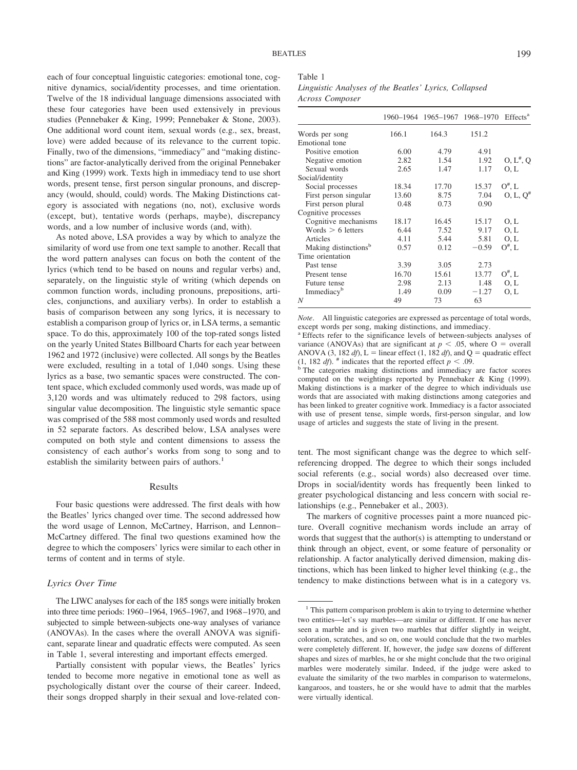each of four conceptual linguistic categories: emotional tone, cognitive dynamics, social/identity processes, and time orientation. Twelve of the 18 individual language dimensions associated with these four categories have been used extensively in previous studies (Pennebaker & King, 1999; Pennebaker & Stone, 2003). One additional word count item, sexual words (e.g., sex, breast, love) were added because of its relevance to the current topic. Finally, two of the dimensions, "immediacy" and "making distinctions" are factor-analytically derived from the original Pennebaker and King (1999) work. Texts high in immediacy tend to use short words, present tense, first person singular pronouns, and discrepancy (would, should, could) words. The Making Distinctions category is associated with negations (no, not), exclusive words (except, but), tentative words (perhaps, maybe), discrepancy words, and a low number of inclusive words (and, with).

As noted above, LSA provides a way by which to analyze the similarity of word use from one text sample to another. Recall that the word pattern analyses can focus on both the content of the lyrics (which tend to be based on nouns and regular verbs) and, separately, on the linguistic style of writing (which depends on common function words, including pronouns, prepositions, articles, conjunctions, and auxiliary verbs). In order to establish a basis of comparison between any song lyrics, it is necessary to establish a comparison group of lyrics or, in LSA terms, a semantic space. To do this, approximately 100 of the top-rated songs listed on the yearly United States Billboard Charts for each year between 1962 and 1972 (inclusive) were collected. All songs by the Beatles were excluded, resulting in a total of 1,040 songs. Using these lyrics as a base, two semantic spaces were constructed. The content space, which excluded commonly used words, was made up of 3,120 words and was ultimately reduced to 298 factors, using singular value decomposition. The linguistic style semantic space was comprised of the 588 most commonly used words and resulted in 52 separate factors. As described below, LSA analyses were computed on both style and content dimensions to assess the consistency of each author's works from song to song and to establish the similarity between pairs of authors.<sup>1</sup>

### Results

Four basic questions were addressed. The first deals with how the Beatles' lyrics changed over time. The second addressed how the word usage of Lennon, McCartney, Harrison, and Lennon– McCartney differed. The final two questions examined how the degree to which the composers' lyrics were similar to each other in terms of content and in terms of style.

# *Lyrics Over Time*

The LIWC analyses for each of the 185 songs were initially broken into three time periods: 1960 –1964, 1965–1967, and 1968 –1970, and subjected to simple between-subjects one-way analyses of variance (ANOVAs). In the cases where the overall ANOVA was significant, separate linear and quadratic effects were computed. As seen in Table 1, several interesting and important effects emerged.

Partially consistent with popular views, the Beatles' lyrics tended to become more negative in emotional tone as well as psychologically distant over the course of their career. Indeed, their songs dropped sharply in their sexual and love-related con-

| Table 1                                               |  |  |
|-------------------------------------------------------|--|--|
| Linguistic Analyses of the Beatles' Lyrics, Collapsed |  |  |
| Across Composer                                       |  |  |

|                                  |       | 1960–1964 1965–1967 1968–1970 |         | $E \text{ffects}^{\text{a}}$ |
|----------------------------------|-------|-------------------------------|---------|------------------------------|
| Words per song                   | 166.1 | 164.3                         | 151.2   |                              |
| Emotional tone                   |       |                               |         |                              |
| Positive emotion                 | 6.00  | 4.79                          | 4.91    |                              |
| Negative emotion                 | 2.82  | 1.54                          | 1.92    | $O, L^*, Q$                  |
| Sexual words                     | 2.65  | 1.47                          | 1.17    | O, L                         |
| Social/identity                  |       |                               |         |                              |
| Social processes                 | 18.34 | 17.70                         | 15.37   | $O^{\#}$ , L                 |
| First person singular            | 13.60 | 8.75                          | 7.04    | $O, L, O^*$                  |
| First person plural              | 0.48  | 0.73                          | 0.90    |                              |
| Cognitive processes              |       |                               |         |                              |
| Cognitive mechanisms             | 18.17 | 16.45                         | 15.17   | O, L                         |
| Words $> 6$ letters              | 6.44  | 7.52                          | 9.17    | O, L                         |
| Articles                         | 4.11  | 5.44                          | 5.81    | O, L                         |
| Making distinctions <sup>b</sup> | 0.57  | 0.12                          | $-0.59$ | $O^{\#}$ , L                 |
| Time orientation                 |       |                               |         |                              |
| Past tense                       | 3.39  | 3.05                          | 2.73    |                              |
| Present tense                    | 16.70 | 15.61                         | 13.77   | $O^{\#}$ , L                 |
| Future tense                     | 2.98  | 2.13                          | 1.48    | O, L                         |
| Immediacy <sup>b</sup>           | 1.49  | 0.09                          | $-1.27$ | O, L                         |
| N                                | 49    | 73                            | 63      |                              |

*Note*. All linguistic categories are expressed as percentage of total words, except words per song, making distinctions, and immediacy.

<sup>a</sup> Effects refer to the significance levels of between-subjects analyses of variance (ANOVAs) that are significant at  $p < .05$ , where O = overall ANOVA (3, 182 *df*), L = linear effect (1, 182 *df*), and Q = quadratic effect

(1, 182 *df*). <sup>#</sup> indicates that the reported effect  $p < .09$ .<br><sup>b</sup> The categories making distinctions and immediacy are factor scores computed on the weightings reported by Pennebaker & King (1999). Making distinctions is a marker of the degree to which individuals use words that are associated with making distinctions among categories and has been linked to greater cognitive work. Immediacy is a factor associated with use of present tense, simple words, first-person singular, and low usage of articles and suggests the state of living in the present.

tent. The most significant change was the degree to which selfreferencing dropped. The degree to which their songs included social referents (e.g., social words) also decreased over time. Drops in social/identity words has frequently been linked to greater psychological distancing and less concern with social relationships (e.g., Pennebaker et al., 2003).

The markers of cognitive processes paint a more nuanced picture. Overall cognitive mechanism words include an array of words that suggest that the author(s) is attempting to understand or think through an object, event, or some feature of personality or relationship. A factor analytically derived dimension, making distinctions, which has been linked to higher level thinking (e.g., the tendency to make distinctions between what is in a category vs.

<sup>&</sup>lt;sup>1</sup> This pattern comparison problem is akin to trying to determine whether two entities—let's say marbles—are similar or different. If one has never seen a marble and is given two marbles that differ slightly in weight, coloration, scratches, and so on, one would conclude that the two marbles were completely different. If, however, the judge saw dozens of different shapes and sizes of marbles, he or she might conclude that the two original marbles were moderately similar. Indeed, if the judge were asked to evaluate the similarity of the two marbles in comparison to watermelons, kangaroos, and toasters, he or she would have to admit that the marbles were virtually identical.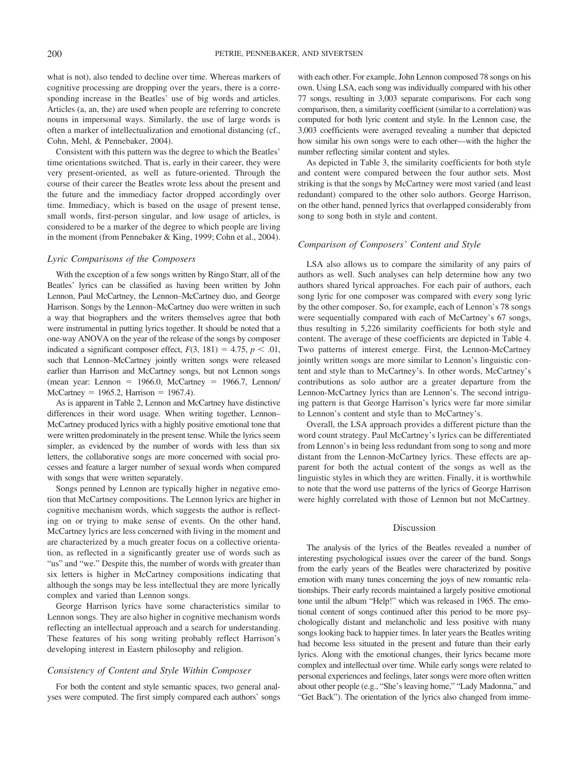what is not), also tended to decline over time. Whereas markers of cognitive processing are dropping over the years, there is a corresponding increase in the Beatles' use of big words and articles. Articles (a, an, the) are used when people are referring to concrete nouns in impersonal ways. Similarly, the use of large words is often a marker of intellectualization and emotional distancing (cf., Cohn, Mehl, & Pennebaker, 2004).

Consistent with this pattern was the degree to which the Beatles' time orientations switched. That is, early in their career, they were very present-oriented, as well as future-oriented. Through the course of their career the Beatles wrote less about the present and the future and the immediacy factor dropped accordingly over time. Immediacy, which is based on the usage of present tense, small words, first-person singular, and low usage of articles, is considered to be a marker of the degree to which people are living in the moment (from Pennebaker & King, 1999; Cohn et al., 2004).

#### *Lyric Comparisons of the Composers*

With the exception of a few songs written by Ringo Starr, all of the Beatles' lyrics can be classified as having been written by John Lennon, Paul McCartney, the Lennon–McCartney duo, and George Harrison. Songs by the Lennon–McCartney duo were written in such a way that biographers and the writers themselves agree that both were instrumental in putting lyrics together. It should be noted that a one-way ANOVA on the year of the release of the songs by composer indicated a significant composer effect,  $F(3, 181) = 4.75$ ,  $p < .01$ , such that Lennon–McCartney jointly written songs were released earlier than Harrison and McCartney songs, but not Lennon songs (mean year: Lennon  $= 1966.0$ , McCartney  $= 1966.7$ , Lennon/  $McCartney = 1965.2$ , Harrison = 1967.4).

As is apparent in Table 2, Lennon and McCartney have distinctive differences in their word usage. When writing together, Lennon– McCartney produced lyrics with a highly positive emotional tone that were written predominately in the present tense. While the lyrics seem simpler, as evidenced by the number of words with less than six letters, the collaborative songs are more concerned with social processes and feature a larger number of sexual words when compared with songs that were written separately.

Songs penned by Lennon are typically higher in negative emotion that McCartney compositions. The Lennon lyrics are higher in cognitive mechanism words, which suggests the author is reflecting on or trying to make sense of events. On the other hand, McCartney lyrics are less concerned with living in the moment and are characterized by a much greater focus on a collective orientation, as reflected in a significantly greater use of words such as "us" and "we." Despite this, the number of words with greater than six letters is higher in McCartney compositions indicating that although the songs may be less intellectual they are more lyrically complex and varied than Lennon songs.

George Harrison lyrics have some characteristics similar to Lennon songs. They are also higher in cognitive mechanism words reflecting an intellectual approach and a search for understanding. These features of his song writing probably reflect Harrison's developing interest in Eastern philosophy and religion.

## *Consistency of Content and Style Within Composer*

For both the content and style semantic spaces, two general analyses were computed. The first simply compared each authors' songs with each other. For example, John Lennon composed 78 songs on his own. Using LSA, each song was individually compared with his other 77 songs, resulting in 3,003 separate comparisons. For each song comparison, then, a similarity coefficient (similar to a correlation) was computed for both lyric content and style. In the Lennon case, the 3,003 coefficients were averaged revealing a number that depicted how similar his own songs were to each other—with the higher the number reflecting similar content and styles.

As depicted in Table 3, the similarity coefficients for both style and content were compared between the four author sets. Most striking is that the songs by McCartney were most varied (and least redundant) compared to the other solo authors. George Harrison, on the other hand, penned lyrics that overlapped considerably from song to song both in style and content.

## *Comparison of Composers' Content and Style*

LSA also allows us to compare the similarity of any pairs of authors as well. Such analyses can help determine how any two authors shared lyrical approaches. For each pair of authors, each song lyric for one composer was compared with every song lyric by the other composer. So, for example, each of Lennon's 78 songs were sequentially compared with each of McCartney's 67 songs, thus resulting in 5,226 similarity coefficients for both style and content. The average of these coefficients are depicted in Table 4. Two patterns of interest emerge. First, the Lennon-McCartney jointly written songs are more similar to Lennon's linguistic content and style than to McCartney's. In other words, McCartney's contributions as solo author are a greater departure from the Lennon-McCartney lyrics than are Lennon's. The second intriguing pattern is that George Harrison's lyrics were far more similar to Lennon's content and style than to McCartney's.

Overall, the LSA approach provides a different picture than the word count strategy. Paul McCartney's lyrics can be differentiated from Lennon's in being less redundant from song to song and more distant from the Lennon-McCartney lyrics. These effects are apparent for both the actual content of the songs as well as the linguistic styles in which they are written. Finally, it is worthwhile to note that the word use patterns of the lyrics of George Harrison were highly correlated with those of Lennon but not McCartney.

# Discussion

The analysis of the lyrics of the Beatles revealed a number of interesting psychological issues over the career of the band. Songs from the early years of the Beatles were characterized by positive emotion with many tunes concerning the joys of new romantic relationships. Their early records maintained a largely positive emotional tone until the album "Help!" which was released in 1965. The emotional content of songs continued after this period to be more psychologically distant and melancholic and less positive with many songs looking back to happier times. In later years the Beatles writing had become less situated in the present and future than their early lyrics. Along with the emotional changes, their lyrics became more complex and intellectual over time. While early songs were related to personal experiences and feelings, later songs were more often written about other people (e.g., "She's leaving home," "Lady Madonna," and "Get Back"). The orientation of the lyrics also changed from imme-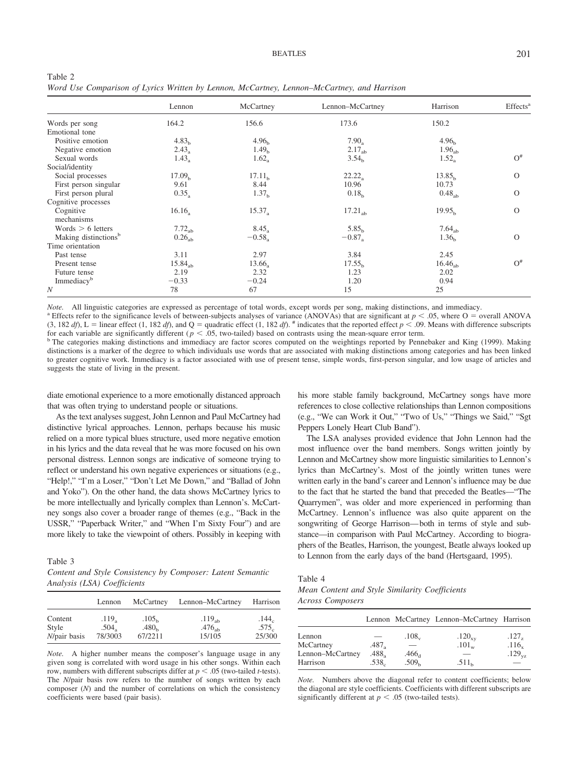|                                  | Lennon             | McCartney          | Lennon-McCartney     | Harrison           | Effects <sup>a</sup> |
|----------------------------------|--------------------|--------------------|----------------------|--------------------|----------------------|
| Words per song                   | 164.2              | 156.6              | 173.6                | 150.2              |                      |
| Emotional tone                   |                    |                    |                      |                    |                      |
| Positive emotion                 | 4.83 <sub>h</sub>  | 4.96 <sub>b</sub>  | 7.90 <sub>2</sub>    | 4.96 <sub>b</sub>  |                      |
| Negative emotion                 | $2.43_a$           | 1.49 <sub>b</sub>  | $2.17_{ab}$          | 1.96 <sub>ab</sub> |                      |
| Sexual words                     | $1.43_a$           | $1.62_a$           | 3.54 <sub>b</sub>    | $1.52_a$           | $O^{\#}$             |
| Social/identity                  |                    |                    |                      |                    |                      |
| Social processes                 | 17.09 <sub>b</sub> | 17.11 <sub>b</sub> | $22.22_a$            | 13.85 <sub>b</sub> | $\Omega$             |
| First person singular            | 9.61               | 8.44               | 10.96                | 10.73              |                      |
| First person plural              | $0.35_a$           | 1.37 <sub>b</sub>  | 0.18 <sub>b</sub>    | $0.48_{ab}$        | $\Omega$             |
| Cognitive processes              |                    |                    |                      |                    |                      |
| Cognitive                        | $16.16_a$          | $15.37_a$          | $17.21_{ab}$         | 19.95 <sub>b</sub> | $\Omega$             |
| mechanisms                       |                    |                    |                      |                    |                      |
| Words $> 6$ letters              | $7.72_{\rm ab}$    | $8.45_a$           | 5.85 <sub>b</sub>    | $7.64_{\rm ab}$    |                      |
| Making distinctions <sup>b</sup> | $0.26_{ab}$        | $-0.58_a$          | $-0.87$ <sub>a</sub> | 1.36 <sub>b</sub>  | $\Omega$             |
| Time orientation                 |                    |                    |                      |                    |                      |
| Past tense                       | 3.11               | 2.97               | 3.84                 | 2.45               |                      |
| Present tense                    | $15.84_{ab}$       | $13.66_a$          | 17.55 <sub>b</sub>   | $16.46_{ab}$       | $O^{\#}$             |
| Future tense                     | 2.19               | 2.32               | 1.23                 | 2.02               |                      |
| Immediacy <sup>b</sup>           | $-0.33$            | $-0.24$            | 1.20                 | 0.94               |                      |
| N                                | 78                 | 67                 | 15                   | 25                 |                      |

Table 2 *Word Use Comparison of Lyrics Written by Lennon, McCartney, Lennon–McCartney, and Harrison*

*Note.* All linguistic categories are expressed as percentage of total words, except words per song, making distinctions, and immediacy.<br><sup>a</sup> Effects refer to the significance levels of between-subjects analyses of varianc (3, 182 *df*), L = linear effect (1, 182 *df*), and Q = quadratic effect (1, 182 *df*). <sup>#</sup> indicates that the reported effect *p* < .09. Means with difference subscripts for each variable are significantly different (*p* 

<sup>b</sup> The categories making distinctions and immediacy are factor scores computed on the weightings reported by Pennebaker and King (1999). Making distinctions is a marker of the degree to which individuals use words that are associated with making distinctions among categories and has been linked to greater cognitive work. Immediacy is a factor associated with use of present tense, simple words, first-person singular, and low usage of articles and suggests the state of living in the present.

diate emotional experience to a more emotionally distanced approach that was often trying to understand people or situations.

As the text analyses suggest, John Lennon and Paul McCartney had distinctive lyrical approaches. Lennon, perhaps because his music relied on a more typical blues structure, used more negative emotion in his lyrics and the data reveal that he was more focused on his own personal distress. Lennon songs are indicative of someone trying to reflect or understand his own negative experiences or situations (e.g., "Help!," "I'm a Loser," "Don't Let Me Down," and "Ballad of John and Yoko"). On the other hand, the data shows McCartney lyrics to be more intellectually and lyrically complex than Lennon's. McCartney songs also cover a broader range of themes (e.g., "Back in the USSR," "Paperback Writer," and "When I'm Sixty Four") and are more likely to take the viewpoint of others. Possibly in keeping with

#### Table 3

*Content and Style Consistency by Composer: Latent Semantic Analysis (LSA) Coefficients*

|                 | Lennon            | McCartney         | Lennon-McCartney   | Harrison          |
|-----------------|-------------------|-------------------|--------------------|-------------------|
| Content         | .119.             | .105 <sub>b</sub> | .119 <sub>ah</sub> | .144 <sub>c</sub> |
| Style           | .504 <sub>2</sub> | .480 <sub>b</sub> | $.476_{\rm ab}$    | .575 <sub>o</sub> |
| $N$ /pair basis | 78/3003           | 67/2211           | 15/105             | 25/300            |

*Note.* A higher number means the composer's language usage in any given song is correlated with word usage in his other songs. Within each row, numbers with different subscripts differ at  $p < .05$  (two-tailed *t*-tests). The *N*/pair basis row refers to the number of songs written by each composer (*N*) and the number of correlations on which the consistency coefficients were based (pair basis).

his more stable family background, McCartney songs have more references to close collective relationships than Lennon compositions (e.g., "We can Work it Out," "Two of Us," "Things we Said," "Sgt Peppers Lonely Heart Club Band").

The LSA analyses provided evidence that John Lennon had the most influence over the band members. Songs written jointly by Lennon and McCartney show more linguistic similarities to Lennon's lyrics than McCartney's. Most of the jointly written tunes were written early in the band's career and Lennon's influence may be due to the fact that he started the band that preceded the Beatles—"The Quarrymen", was older and more experienced in performing than McCartney. Lennon's influence was also quite apparent on the songwriting of George Harrison— both in terms of style and substance—in comparison with Paul McCartney. According to biographers of the Beatles, Harrison, the youngest, Beatle always looked up to Lennon from the early days of the band (Hertsgaard, 1995).

Table 4

*Mean Content and Style Similarity Coefficients Across Composers*

|                                                     |                                     |                                       | Lennon McCartney Lennon-McCartney Harrison     |                                                                  |
|-----------------------------------------------------|-------------------------------------|---------------------------------------|------------------------------------------------|------------------------------------------------------------------|
| Lennon<br>McCartney<br>Lennon-McCartney<br>Harrison | .487.<br>.488,<br>.538 <sub>c</sub> | .108<br>$.466_a$<br>.509 <sub>b</sub> | $.120_{xy}$<br>$.101_{w}$<br>.511 <sub>b</sub> | .127.<br>.116.<br>$.129_{vz}$<br>$\hspace{0.1mm}-\hspace{0.1mm}$ |

*Note.* Numbers above the diagonal refer to content coefficients; below the diagonal are style coefficients. Coefficients with different subscripts are significantly different at  $p < .05$  (two-tailed tests).